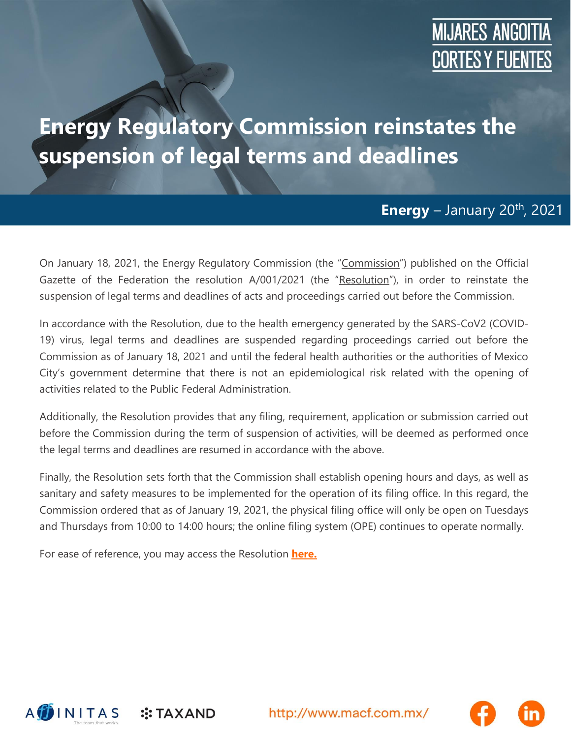## **MIJARES ANGOITIA CORTES Y FUENTES**

## **Energy Regulatory Commission reinstates the suspension of legal terms and deadlines**

## **Energy** – January 20<sup>th</sup>, 2021

On January 18, 2021, the Energy Regulatory Commission (the "Commission") published on the Official Gazette of the Federation the resolution A/001/2021 (the "Resolution"), in order to reinstate the suspension of legal terms and deadlines of acts and proceedings carried out before the Commission.

In accordance with the Resolution, due to the health emergency generated by the SARS-CoV2 (COVID-19) virus, legal terms and deadlines are suspended regarding proceedings carried out before the Commission as of January 18, 2021 and until the federal health authorities or the authorities of Mexico City's government determine that there is not an epidemiological risk related with the opening of activities related to the Public Federal Administration.

Additionally, the Resolution provides that any filing, requirement, application or submission carried out before the Commission during the term of suspension of activities, will be deemed as performed once the legal terms and deadlines are resumed in accordance with the above.

Finally, the Resolution sets forth that the Commission shall establish opening hours and days, as well as sanitary and safety measures to be implemented for the operation of its filing office. In this regard, the Commission ordered that as of January 19, 2021, the physical filing office will only be open on Tuesdays and Thursdays from 10:00 to 14:00 hours; the online filing system (OPE) continues to operate normally.

For ease of reference, you may access the Resolution **[here.](https://macf.com.mx/administrador/assets/uploads/files/seasons/6a79a-cre18012021.pdf)**

 $::$ TAXAND



http://www.macf.com.mx/